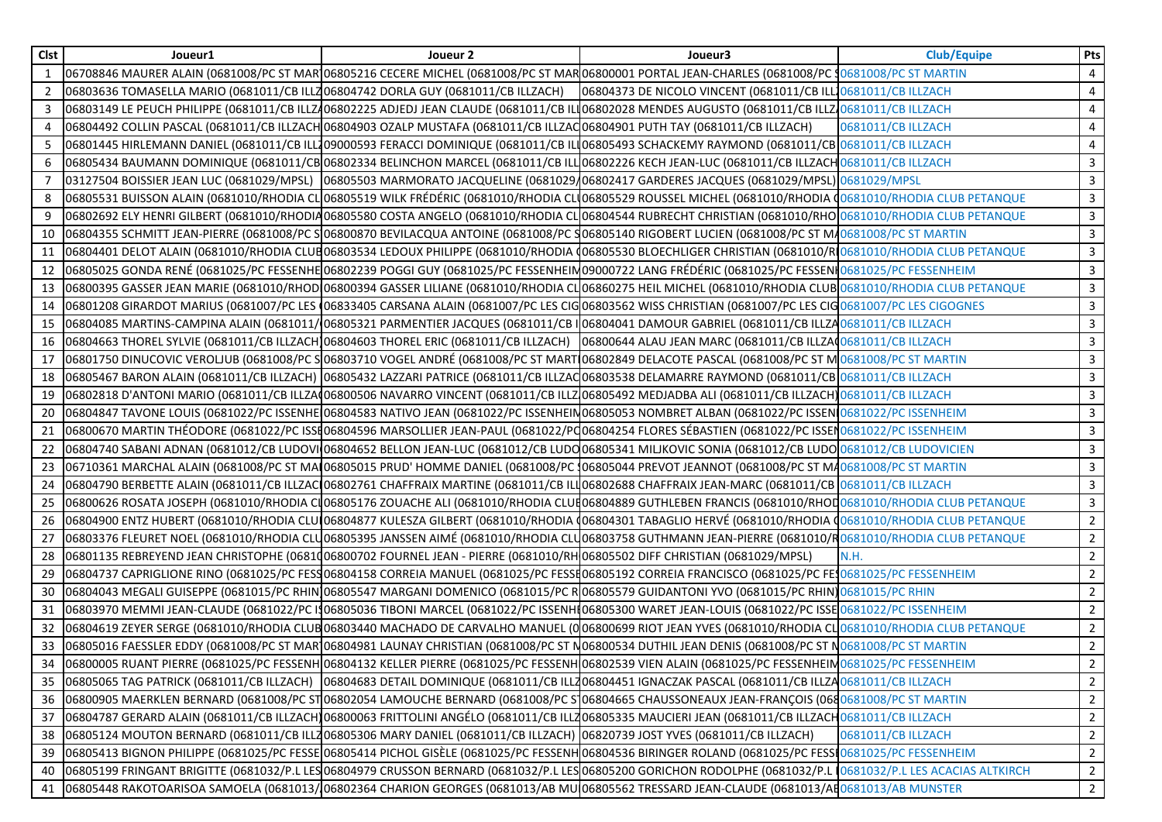| Clst | Joueur1                                                                          | Joueur 2                                                                                                                   | Joueur3                                                                                                                                                            | <b>Club/Equipe</b> | Pts            |
|------|----------------------------------------------------------------------------------|----------------------------------------------------------------------------------------------------------------------------|--------------------------------------------------------------------------------------------------------------------------------------------------------------------|--------------------|----------------|
| 1    |                                                                                  |                                                                                                                            | 06708846 MAURER ALAIN (0681008/PC ST MAR106805216 CECERE MICHEL (0681008/PC ST MAR06800001 PORTAL JEAN-CHARLES (0681008/PC 10681008/PC ST MARTIN                   |                    | 4              |
| 2    | 06803636 TOMASELLA MARIO (0681011/CB ILLZ06804742 DORLA GUY (0681011/CB ILLZACH) |                                                                                                                            | 06804373 DE NICOLO VINCENT (0681011/CB ILL10681011/CB ILLZACH                                                                                                      |                    | 4              |
| 3    |                                                                                  |                                                                                                                            | 06803149 LE PEUCH PHILIPPE (0681011/CB ILLZ406802225 ADJEDJ JEAN CLAUDE (0681011/CB ILL06802028 MENDES AUGUSTO (0681011/CB ILLZ40681011/CB ILLZ40681011/CB ILLZACH |                    | 4              |
| 4    |                                                                                  | 06804492 COLLIN PASCAL (0681011/CB ILLZACH 06804903 OZALP MUSTAFA (0681011/CB ILLZAQ06804901 PUTH TAY (0681011/CB ILLZACH) |                                                                                                                                                                    | 0681011/CB ILLZACH | 4              |
| -5   |                                                                                  |                                                                                                                            | 06801445 HIRLEMANN DANIEL (0681011/CB ILL109000593 FERACCI DOMINIQUE (0681011/CB ILI06805493 SCHACKEMY RAYMOND (0681011/CB 0681011/CB ILLZACH                      |                    | $\overline{4}$ |
| 6    |                                                                                  |                                                                                                                            | 06805434 BAUMANN DOMINIQUE (0681011/CB 06802334 BELINCHON MARCEL (0681011/CB ILL 06802226 KECH JEAN-LUC (0681011/CB ILLZACH 0681011/CB ILLZACH                     |                    | 3              |
| 7    |                                                                                  |                                                                                                                            | 03127504 BOISSIER JEAN LUC (0681029/MPSL) 06805503 MARMORATO JACQUELINE (0681029/06802417 GARDERES JACQUES (0681029/MPSL) 0681029/MPSL                             |                    | 3              |
| 8    |                                                                                  |                                                                                                                            | 06805531 BUISSON ALAIN (0681010/RHODIA CLO6805519 WILK FRÉDÉRIC (0681010/RHODIA CLO6805529 ROUSSEL MICHEL (0681010/RHODIA O681010/RHODIA CLUB PETANQUE             |                    | 3              |
| 9    |                                                                                  |                                                                                                                            | 06802692 ELY HENRI GILBERT (0681010/RHODIA06805580 COSTA ANGELO (0681010/RHODIA CL 06804544 RUBRECHT CHRISTIAN (0681010/RHO 0681010/RHODIA CLUB PETANQUE           |                    | 3              |
| 10   |                                                                                  |                                                                                                                            | 06804355 SCHMITT JEAN-PIERRE (0681008/PC SI06800870 BEVILACQUA ANTOINE (0681008/PC S06805140 RIGOBERT LUCIEN (0681008/PC ST MA0681008/PC ST MARTIN                 |                    | 3              |
| 11   |                                                                                  |                                                                                                                            | 06804401 DELOT ALAIN (0681010/RHODIA CLUB06803534 LEDOUX PHILIPPE (0681010/RHODIA (06805530 BLOECHLIGER CHRISTIAN (0681010/RI0681010/RHODIA CLUB PETANQUE          |                    | 3              |
| 12   |                                                                                  |                                                                                                                            | 06805025 GONDA RENÉ (0681025/PC FESSENHE 06802239 POGGI GUY (0681025/PC FESSENHEIM 09000722 LANG FRÉDÉRIC (0681025/PC FESSEN 0681025/PC FESSENT                    |                    | 3              |
|      |                                                                                  |                                                                                                                            | 13  06800395 GASSER JEAN MARIE (0681010/RHOD 06800394 GASSER LILIANE (0681010/RHODIA CLO6860275 HEIL MICHEL (0681010/RHODIA CLUB 0681010/RHODIA CLUB PETANQUE      |                    | 3              |
|      |                                                                                  |                                                                                                                            | 14  06801208 GIRARDOT MARIUS (0681007/PC LES (06833405 CARSANA ALAIN (0681007/PC LES CIG 06803562 WISS CHRISTIAN (0681007/PC LES CIG 0681007/PC LES CIGOGNES       |                    | 3              |
| 15   |                                                                                  |                                                                                                                            | 06804085 MARTINS-CAMPINA ALAIN (0681011/06805321 PARMENTIER JACQUES (0681011/CB I 06804041 DAMOUR GABRIEL (0681011/CB ILLZA 0681011/CB ILLZA                       |                    | 3              |
| 16   |                                                                                  |                                                                                                                            | 06804663 THOREL SYLVIE (0681011/CB ILLZACH)06804603 THOREL ERIC (0681011/CB ILLZACH) 06800644 ALAU JEAN MARC (0681011/CB ILLZAQ0681011/CB ILLZACH                  |                    | 3              |
| 17   |                                                                                  |                                                                                                                            | 06801750 DINUCOVIC VEROLJUB (0681008/PC SO6803710 VOGEL ANDRÉ (0681008/PC ST MART 06802849 DELACOTE PASCAL (0681008/PC ST M 0681008/PC ST MARTIN                   |                    | 3              |
| 18   |                                                                                  |                                                                                                                            | 06805467 BARON ALAIN (0681011/CB ILLZACH) 06805432 LAZZARI PATRICE (0681011/CB ILLZAQ06803538 DELAMARRE RAYMOND (0681011/CB 0681011/CB ILLZACH                     |                    | 3              |
| 19   |                                                                                  |                                                                                                                            | 06802818 D'ANTONI MARIO (0681011/CB ILLZA 06800506 NAVARRO VINCENT (0681011/CB ILLZ 06805492 MEDJADBA ALI (0681011/CB ILLZACH) 0681011/CB ILLZACH                  |                    | $\mathbf{3}$   |
| 20   |                                                                                  |                                                                                                                            | 06804847 TAVONE LOUIS (0681022/PC ISSENHE 06804583 NATIVO JEAN (0681022/PC ISSENHEIN 06805053 NOMBRET ALBAN (0681022/PC ISSEN 0681022/PC ISSENHEIM                 |                    | 3              |
| 21   |                                                                                  |                                                                                                                            | 06800670 MARTIN THÉODORE (0681022/PC ISSI06804596 MARSOLLIER JEAN-PAUL (0681022/PQ06804254 FLORES SÉBASTIEN (0681022/PC ISSEN0681022/PC ISSENHEIM                  |                    | 3              |
| 22   |                                                                                  |                                                                                                                            | 06804740 SABANI ADNAN (0681012/CB LUDOVI 06804652 BELLON JEAN-LUC (0681012/CB LUDO 06805341 MILJKOVIC SONIA (0681012/CB LUDO 0681012/CB LUDO 0681012/CB LUDOVICIEN |                    | $\overline{3}$ |
| 23   |                                                                                  |                                                                                                                            | 06710361 MARCHAL ALAIN (0681008/PC ST MAI06805015 PRUD' HOMME DANIEL (0681008/PC 106805044 PREVOT JEANNOT (0681008/PC ST MA0681008/PC ST MARTIN                    |                    | 3              |
| 24   |                                                                                  |                                                                                                                            | 06804790 BERBETTE ALAIN (0681011/CB ILLZAC 06802761 CHAFFRAIX MARTINE (0681011/CB ILLO6802688 CHAFFRAIX JEAN-MARC (0681011/CB 0681011/CB ILLZACH                   |                    | 3              |
| 25   |                                                                                  |                                                                                                                            | 06800626 ROSATA JOSEPH (0681010/RHODIA CI06805176 ZOUACHE ALI (0681010/RHODIA CLUE06804889 GUTHLEBEN FRANCIS (0681010/RHOD 0681010/RHODIA CLUB PETANQUE            |                    | 3              |
| 26   |                                                                                  |                                                                                                                            | 06804900 ENTZ HUBERT (0681010/RHODIA CLUI06804877 KULESZA GILBERT (0681010/RHODIA (06804301 TABAGLIO HERVÉ (0681010/RHODIA (0681010/RHODIA CLUB PETANQUE           |                    | $\overline{2}$ |
| 27   |                                                                                  |                                                                                                                            | 06803376 FLEURET NOEL (0681010/RHODIA CLU06805395 JANSSEN AIMÉ (0681010/RHODIA CLU06803758 GUTHMANN JEAN-PIERRE (0681010/R0681010/RHODIA CLUB PETANQUE             |                    | 2              |
| 28   |                                                                                  | 06801135 REBREYEND JEAN CHRISTOPHE (0681006800702 FOURNEL JEAN - PIERRE (0681010/RH 06805502 DIFF CHRISTIAN (0681029/MPSL) |                                                                                                                                                                    | N.H.               | $\overline{2}$ |
| 29   |                                                                                  |                                                                                                                            | 06804737 CAPRIGLIONE RINO (0681025/PC FESS06804158 CORREIA MANUEL (0681025/PC FESSI06805192 CORREIA FRANCISCO (0681025/PC FES0681025/PC FESSENHEIM                 |                    | $\overline{2}$ |
| 30   |                                                                                  |                                                                                                                            | 06804043 MEGALI GUISEPPE (0681015/PC RHIN 06805547 MARGANI DOMENICO (0681015/PC R 06805579 GUIDANTONI YVO (0681015/PC RHIN 0681015/PC RHIN                         |                    | 2              |
| 31   |                                                                                  |                                                                                                                            | 06803970 MEMMI JEAN-CLAUDE (0681022/PC I306805036 TIBONI MARCEL (0681022/PC ISSENHI06805300 WARET JEAN-LOUIS (0681022/PC ISSE 0681022/PC ISSENHEIM                 |                    | $\overline{2}$ |
| 32   |                                                                                  |                                                                                                                            | 06804619 ZEYER SERGE (0681010/RHODIA CLUBO6803440 MACHADO DE CARVALHO MANUEL (006800699 RIOT JEAN YVES (0681010/RHODIA CLO681010/RHODIA CLUB PETANQUE              |                    | $\overline{2}$ |
| 33   |                                                                                  |                                                                                                                            | 06805016 FAESSLER EDDY (0681008/PC ST MAR106804981 LAUNAY CHRISTIAN (0681008/PC ST N06800534 DUTHIL JEAN DENIS (0681008/PC ST N0681008/PC ST MARTIN                |                    | 2              |
|      |                                                                                  |                                                                                                                            | 34 06800005 RUANT PIERRE (0681025/PC FESSENH 06804132 KELLER PIERRE (0681025/PC FESSENH 06802539 VIEN ALAIN (0681025/PC FESSENHEIN 0681025/PC FESSENHEIN           |                    | $\overline{2}$ |
| 35   |                                                                                  |                                                                                                                            | 06805065 TAG PATRICK (0681011/CB ILLZACH)  06804683 DETAIL DOMINIQUE (0681011/CB ILLZ06804451 IGNACZAK PASCAL (0681011/CB ILLZ40681011/CB ILLZACH                  |                    | $\overline{2}$ |
| 36   |                                                                                  |                                                                                                                            | 06800905 MAERKLEN BERNARD (0681008/PC ST06802054 LAMOUCHE BERNARD (0681008/PC S]06804665 CHAUSSONEAUX JEAN-FRANÇOIS (0680681008/PC ST MARTIN                       |                    | $\overline{2}$ |
| 37   |                                                                                  |                                                                                                                            | 06804787 GERARD ALAIN (0681011/CB ILLZACH)06800063 FRITTOLINI ANGÉLO (0681011/CB ILLZ06805335 MAUCIERI JEAN (0681011/CB ILLZACH0681011/CB ILLZACH                  |                    | 2              |
| 38   |                                                                                  | 06805124 MOUTON BERNARD (0681011/CB ILLZ06805306 MARY DANIEL (0681011/CB ILLZACH) 06820739 JOST YVES (0681011/CB ILLZACH)  |                                                                                                                                                                    | 0681011/CB ILLZACH | $\overline{2}$ |
| 39   |                                                                                  |                                                                                                                            | 06805413 BIGNON PHILIPPE (0681025/PC FESSE 06805414 PICHOL GISÈLE (0681025/PC FESSENH 06804536 BIRINGER ROLAND (0681025/PC FESS 0681025/PC FESSENHEIM              |                    | $\overline{2}$ |
| 40   |                                                                                  |                                                                                                                            | 06805199 FRINGANT BRIGITTE (0681032/P.L LES 06804979 CRUSSON BERNARD (0681032/P.L LES 06805200 GORICHON RODOLPHE (0681032/P.L 10681032/P.L LES ACACIAS ALTKIRCH    |                    | $\overline{2}$ |
| 41   |                                                                                  |                                                                                                                            | 06805448 RAKOTOARISOA SAMOELA (0681013/06802364 CHARION GEORGES (0681013/AB MU 06805562 TRESSARD JEAN-CLAUDE (0681013/AB0681013/AB MUNSTER                         |                    | $\overline{2}$ |